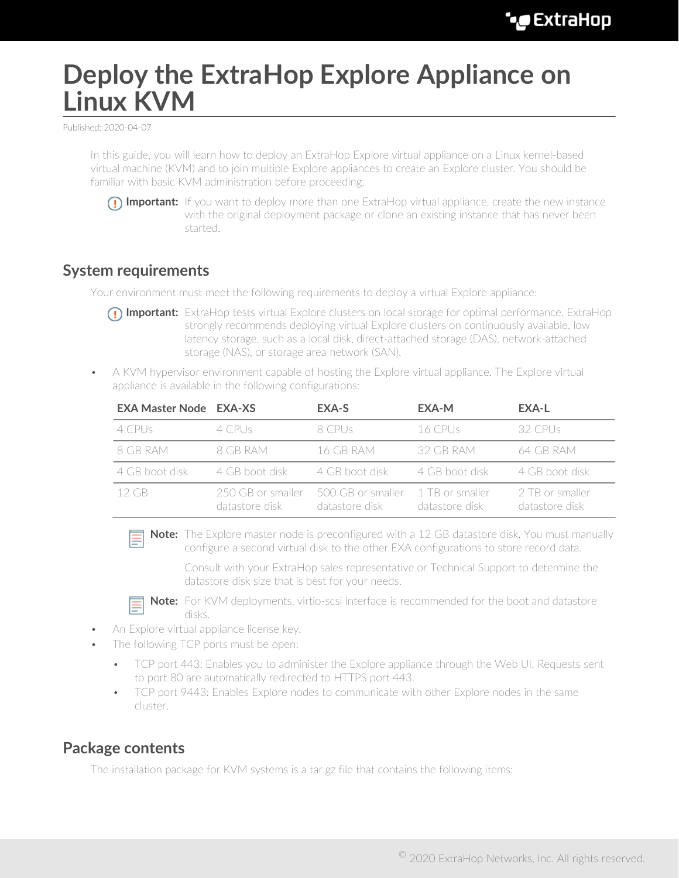# **Deploy the ExtraHop Explore Appliance on Linux KVM**

Published: 2020-04-07

In this guide, you will learn how to deploy an ExtraHop Explore virtual appliance on a Linux kernel-based virtual machine (KVM) and to join multiple Explore appliances to create an Explore cluster. You should be familiar with basic KVM administration before proceeding.



**Important:** If you want to deploy more than one ExtraHop virtual appliance, create the new instance with the original deployment package or clone an existing instance that has never been started.

### **System requirements**

Your environment must meet the following requirements to deploy a virtual Explore appliance:

- **Important:** ExtraHop tests virtual Explore clusters on local storage for optimal performance. ExtraHop strongly recommends deploying virtual Explore clusters on continuously available, low latency storage, such as a local disk, direct-attached storage (DAS), network-attached storage (NAS), or storage area network (SAN).
- A KVM hypervisor environment capable of hosting the Explore virtual appliance. The Explore virtual appliance is available in the following configurations:

| <b>EXA Master Node EXA-XS</b> |                                     | EXA-S                               | EXA-M                               | EXA-L                             |
|-------------------------------|-------------------------------------|-------------------------------------|-------------------------------------|-----------------------------------|
| $4$ CPUs                      | 4 CPUs                              | 8 CPUs                              | 16 CPUs.                            | 32 CPUs                           |
| 8 GB RAM                      | 8 GB RAM                            | 16 GB RAM                           | 32 GB RAM                           | 64 GB RAM                         |
| 4 GB boot disk                | 4 GB boot disk                      | 4 GB boot disk                      | 4 GB boot disk                      | 4 GB boot disk                    |
| $12$ GB                       | 250 GB or smaller<br>datastore disk | 500 GB or smaller<br>datastore disk | - 1 TB or smaller<br>datastore disk | 2 TB or smaller<br>datastore disk |

**Note:** The Explore master node is preconfigured with a 12 GB datastore disk. You must manually configure a second virtual disk to the other EXA configurations to store record data.

Consult with your ExtraHop sales representative or Technical Support to determine the datastore disk size that is best for your needs.



**Note:** For KVM deployments, virtio-scsi interface is recommended for the boot and datastore disks.

- An Explore virtual appliance license key.
- The following TCP ports must be open:
	- TCP port 443: Enables you to administer the Explore appliance through the Web UI. Requests sent to port 80 are automatically redirected to HTTPS port 443.
	- TCP port 9443: Enables Explore nodes to communicate with other Explore nodes in the same cluster.

### **Package contents**

The installation package for KVM systems is a tar.gz file that contains the following items: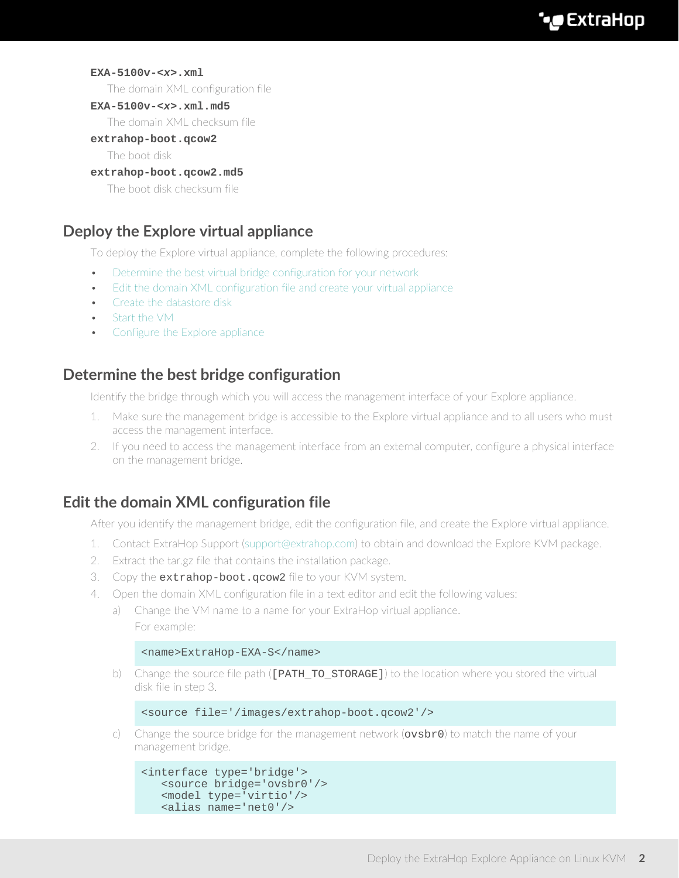#### **EXA-5100v-<x>.xml**

The domain XML configuration file

#### **EXA-5100v-<x>.xml.md5**

The domain XML checksum file

#### **extrahop-boot.qcow2**

The boot disk

#### **extrahop-boot.qcow2.md5**

The boot disk checksum file

# **Deploy the Explore virtual appliance**

To deploy the Explore virtual appliance, complete the following procedures:

- [Determine the best virtual bridge configuration for your network](#page-1-0)
- [Edit the domain XML configuration file and create your virtual appliance](#page-1-1)
- [Create the datastore disk](#page-2-0)
- [Start the VM](#page-2-1)
- [Configure the Explore appliance](#page-3-0)

# <span id="page-1-0"></span>**Determine the best bridge configuration**

Identify the bridge through which you will access the management interface of your Explore appliance.

- 1. Make sure the management bridge is accessible to the Explore virtual appliance and to all users who must access the management interface.
- 2. If you need to access the management interface from an external computer, configure a physical interface on the management bridge.

# <span id="page-1-1"></span>**Edit the domain XML configuration file**

After you identify the management bridge, edit the configuration file, and create the Explore virtual appliance.

- 1. Contact ExtraHop Support ([support@extrahop.com](mailto:support@extrahop.com)) to obtain and download the Explore KVM package.
- 2. Extract the tar.gz file that contains the installation package.
- 3. Copy the extrahop-boot. gcow2 file to your KVM system.
- 4. Open the domain XML configuration file in a text editor and edit the following values:
	- a) Change the VM name to a name for your ExtraHop virtual appliance. For example:

#### <name>ExtraHop-EXA-S</name>

b) Change the source file path ([PATH\_TO\_STORAGE]) to the location where you stored the virtual disk file in step 3.

```
<source file='/images/extrahop-boot.qcow2'/>
```
Change the source bridge for the management network ( $ovsbro$ ) to match the name of your management bridge.

```
<interface type='bridge'>
   <source bridge='ovsbr0'/>
   <model type='virtio'/>
    <alias name='net0'/>
```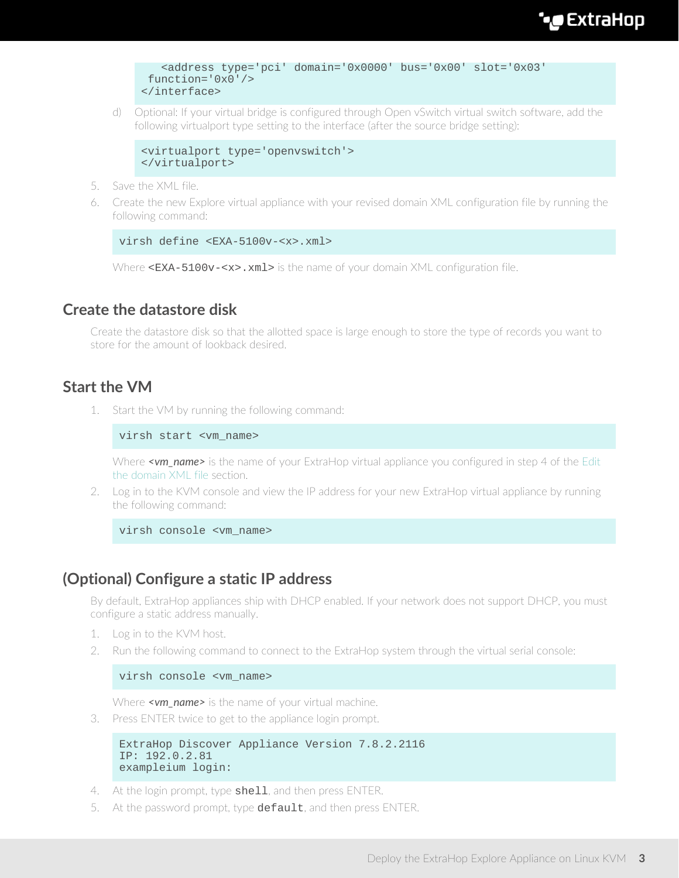```
 <address type='pci' domain='0x0000' bus='0x00' slot='0x03'
 function='0x0'/>
</interface>
```
d) Optional: If your virtual bridge is configured through Open vSwitch virtual switch software, add the following virtualport type setting to the interface (after the source bridge setting):

```
<virtualport type='openvswitch'>
</virtualport>
```
- 5. Save the XML file.
- 6. Create the new Explore virtual appliance with your revised domain XML configuration file by running the following command:

```
virsh define <EXA-5100v-<x> xml>
```
Where <EXA-5100v-<x>.xml> is the name of your domain XML configuration file.

## <span id="page-2-0"></span>**Create the datastore disk**

Create the datastore disk so that the allotted space is large enough to store the type of records you want to store for the amount of lookback desired.

# <span id="page-2-1"></span>**Start the VM**

1. Start the VM by running the following command:

virsh start <vm\_name>

Where **<vm\_name>** is the name of your ExtraHop virtual appliance you configured in step 4 of the [Edit](#page-1-1) [the domain XML file](#page-1-1) section.

2. Log in to the KVM console and view the IP address for your new ExtraHop virtual appliance by running the following command:

virsh console <vm\_name>

# **(Optional) Configure a static IP address**

By default, ExtraHop appliances ship with DHCP enabled. If your network does not support DHCP, you must configure a static address manually.

- 1. Log in to the KVM host.
- 2. Run the following command to connect to the ExtraHop system through the virtual serial console:

```
virsh console <vm_name>
```
Where **<vm\_name>** is the name of your virtual machine.

3. Press ENTER twice to get to the appliance login prompt.

```
ExtraHop Discover Appliance Version 7.8.2.2116
IP: 192.0.2.81
exampleium login:
```
- 4. At the login prompt, type shell, and then press ENTER.
- 5. At the password prompt, type default, and then press ENTER.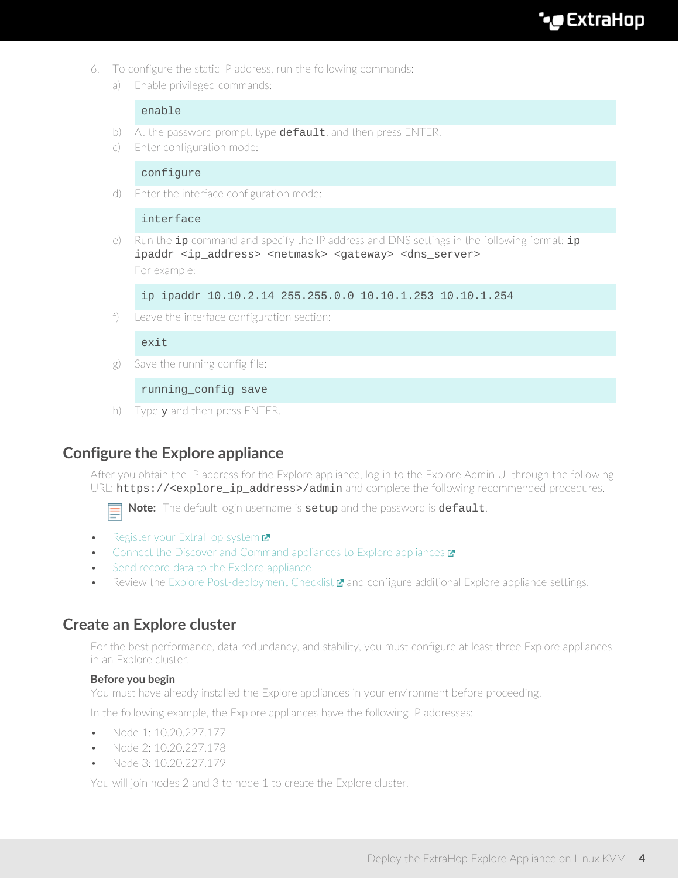**C**xtraHop

- 6. To configure the static IP address, run the following commands:
	- a) Enable privileged commands:

#### enable

- b) At the password prompt, type default, and then press ENTER.
- c) Enter configuration mode:

#### configure

d) Enter the interface configuration mode:

#### interface

e) Run the  $ip$  command and specify the IP address and DNS settings in the following format:  $ip$ ipaddr <ip\_address> <netmask> <gateway> <dns\_server> For example:

ip ipaddr 10.10.2.14 255.255.0.0 10.10.1.253 10.10.1.254

f) Leave the interface configuration section:

#### exit

g) Save the running config file:

running\_config save

h) Type y and then press ENTER.

## <span id="page-3-0"></span>**Configure the Explore appliance**

After you obtain the IP address for the Explore appliance, log in to the Explore Admin UI through the following URL: https://<explore\_ip\_address>/admin and complete the following recommended procedures.



**Note:** The default login username is setup and the password is default.

- [Register your ExtraHop system](https://docs.extrahop.com/8.0/register-appliance/#register-your-extrahop-system) **⊠**
- [Connect the Discover and Command appliances to Explore appliances](https://docs.extrahop.com/8.0/connect-eda-eca-exa/#connect-the-discover-and-command-appliances-to-explore-appliances)  $\blacksquare$
- [Send record data to the Explore appliance](#page-7-0)
- Review the [Explore Post-deployment Checklist](https://docs.extrahop.com/8.0/exa-post-deployment-checklist/#explore-post-deployment-checklist)  $\mathbf{\Sigma}$  and configure additional Explore appliance settings.

### **Create an Explore cluster**

For the best performance, data redundancy, and stability, you must configure at least three Explore appliances in an Explore cluster.

#### **Before you begin**

You must have already installed the Explore appliances in your environment before proceeding.

In the following example, the Explore appliances have the following IP addresses:

- Node 1: 10.20.227.177
- Node 2: 10.20.227.178
- Node 3: 10.20.227.179

You will join nodes 2 and 3 to node 1 to create the Explore cluster.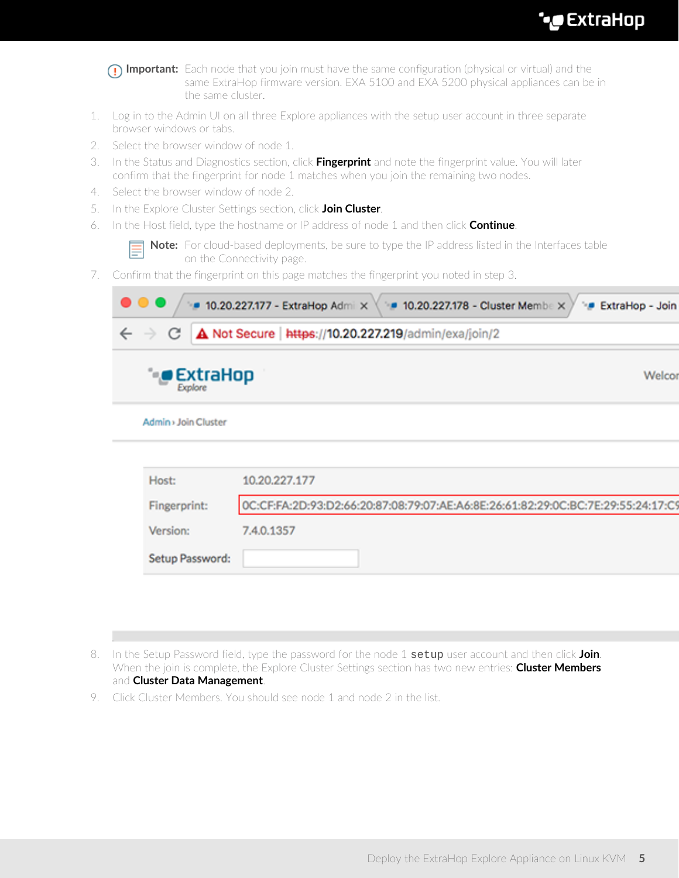|    | <b>Important:</b> Each node that you join must have the same configuration (physical or virtual) and the<br>same ExtraHop firmware version. EXA 5100 and EXA 5200 physical appliances can be in<br>the same cluster. |
|----|----------------------------------------------------------------------------------------------------------------------------------------------------------------------------------------------------------------------|
| 1. | Log in to the Admin UI on all three Explore appliances with the setup user account in three separate<br>browser windows or tabs.                                                                                     |
| 2. | Select the browser window of node 1.                                                                                                                                                                                 |
| 3. | In the Status and Diagnostics section, click Fingerprint and note the fingerprint value. You will later<br>confirm that the fingerprint for node 1 matches when you join the remaining two nodes.                    |
| 4. | Select the browser window of node 2.                                                                                                                                                                                 |
| 5. | In the Explore Cluster Settings section, click Join Cluster.                                                                                                                                                         |
| 6. | In the Host field, type the hostname or IP address of node 1 and then click <b>Continue</b> .                                                                                                                        |
|    | Note: For cloud-based deployments, be sure to type the IP address listed in the Interfaces table<br>on the Connectivity page.                                                                                        |
| 7. | Confirm that the fingerprint on this page matches the fingerprint you noted in step 3.                                                                                                                               |
|    | 10.20.227.177 - ExtraHop Admi X<br>• 10.20.227.178 - Cluster Membe X<br><b>ExtraHop - Join</b><br>$\triangle$ Not Secure   https://10.20.227.219/admin/exa/join/2<br>С                                               |
|    | ) ExtraHop<br>Welcor<br>Explore                                                                                                                                                                                      |
|    | Admin > Join Cluster                                                                                                                                                                                                 |
|    |                                                                                                                                                                                                                      |
|    |                                                                                                                                                                                                                      |
|    | Host:<br>10.20.227.177                                                                                                                                                                                               |
|    | Fingerprint:                                                                                                                                                                                                         |
|    | 0C:CF:FA:2D:93:D2:66:20:87:08:79:07:AE:A6:8E:26:61:82:29:0C:BC:7E:29:55:24:17:C9<br>Version:<br>7.4.0.1357                                                                                                           |

- 8. In the Setup Password field, type the password for the node 1 setup user account and then click **Join**. When the join is complete, the Explore Cluster Settings section has two new entries: **Cluster Members** and **Cluster Data Management**.
- 9. Click Cluster Members. You should see node 1 and node 2 in the list.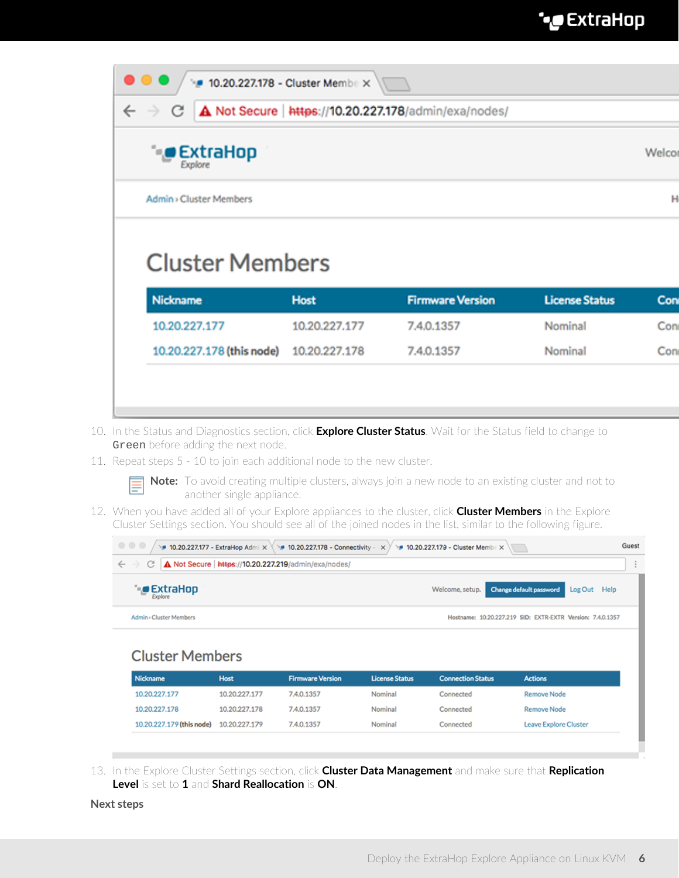| С                                  |               | A Not Secure   https://10.20.227.178/admin/exa/nodes/ |                       |        |
|------------------------------------|---------------|-------------------------------------------------------|-----------------------|--------|
| $\bullet$ ExtraHop<br>Explore      |               |                                                       |                       | Welcor |
|                                    |               |                                                       |                       |        |
| Admin > Cluster Members            |               |                                                       |                       | н      |
| <b>Cluster Members</b><br>Nickname | <b>Host</b>   | <b>Firmware Version</b>                               | <b>License Status</b> | Con    |
| 10.20.227.177                      | 10.20.227.177 | 7.4.0.1357                                            | Nominal               | Con    |

- 10. In the Status and Diagnostics section, click **Explore Cluster Status**. Wait for the Status field to change to Green before adding the next node.
- 11. Repeat steps 5 10 to join each additional node to the new cluster.



**Note:** To avoid creating multiple clusters, always join a new node to an existing cluster and not to another single appliance.

12. When you have added all of your Explore appliances to the cluster, click **Cluster Members** in the Explore Cluster Settings section. You should see all of the joined nodes in the list, similar to the following figure.

| $\begin{array}{c} \circ \\ \circ \\ \circ \end{array}$<br>• 10.20.227.177 - ExtraHop Admi $\times$ \ * 10.20.227.178 - Connectivity - $\times$ > | • 10.20.227.179 - Cluster Member                           | Guest |
|--------------------------------------------------------------------------------------------------------------------------------------------------|------------------------------------------------------------|-------|
| A Not Secure   https://10.20.227.219/admin/exa/nodes/<br>$\leftarrow$ $\rightarrow$<br>C.                                                        |                                                            |       |
| $\bullet$ ExtraHop                                                                                                                               | Welcome, setup. Change default password<br>Log Out Help    |       |
| Admin > Cluster Members                                                                                                                          | Hostname: 10.20.227.219 SID: EXTR-EXTR Version: 7.4.0.1357 |       |
| <b>Cluster Members</b>                                                                                                                           |                                                            |       |

| Nickname                  | <b>Host</b>   | <b>Firmware Version</b> | <b>License Status</b> | <b>Connection Status</b> | <b>Actions</b>        |
|---------------------------|---------------|-------------------------|-----------------------|--------------------------|-----------------------|
| 10.20.227.177             | 10.20.227.177 | 7.4.0.1357              | Nominal               | Connected                | <b>Remove Node</b>    |
| 10.20.227.178             | 10.20.227.178 | 7.4.0.1357              | Nominal               | Connected                | <b>Remove Node</b>    |
| 10.20.227.179 (this node) | 10.20.227.179 | 7.4.0.1357              | Nominal               | Connected                | Leave Explore Cluster |

13. In the Explore Cluster Settings section, click **Cluster Data Management** and make sure that **Replication Level** is set to **1** and **Shard Reallocation** is **ON**.

#### **Next steps**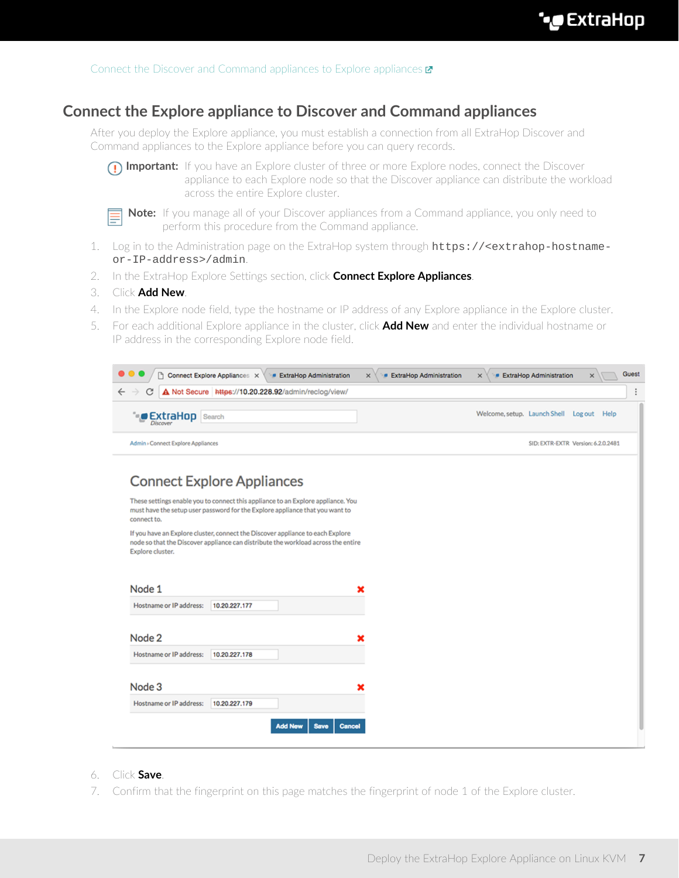# **Connect the Explore appliance to Discover and Command appliances**

After you deploy the Explore appliance, you must establish a connection from all ExtraHop Discover and Command appliances to the Explore appliance before you can query records.



**Important:** If you have an Explore cluster of three or more Explore nodes, connect the Discover appliance to each Explore node so that the Discover appliance can distribute the workload across the entire Explore cluster.



**Note:** If you manage all of your Discover appliances from a Command appliance, you only need to perform this procedure from the Command appliance.

- 1. Log in to the Administration page on the ExtraHop system through https://<extrahop-hostnameor-IP-address>/admin.
- 2. In the ExtraHop Explore Settings section, click **Connect Explore Appliances**.
- 3. Click **Add New**.
- 4. In the Explore node field, type the hostname or IP address of any Explore appliance in the Explore cluster.
- 5. For each additional Explore appliance in the cluster, click **Add New** and enter the individual hostname or IP address in the corresponding Explore node field.

| A Not Secure https://10.20.228.92/admin/reclog/view/<br>C                                                                                                                               |  |                                           |                                    |
|-----------------------------------------------------------------------------------------------------------------------------------------------------------------------------------------|--|-------------------------------------------|------------------------------------|
| <b>ExtraHop</b> Search<br><b>Discover</b>                                                                                                                                               |  | Welcome, setup. Launch Shell Log out Help |                                    |
| Admin > Connect Explore Appliances                                                                                                                                                      |  |                                           | SID: EXTR-EXTR Version: 6.2.0.2481 |
| <b>Connect Explore Appliances</b>                                                                                                                                                       |  |                                           |                                    |
| These settings enable you to connect this appliance to an Explore appliance. You<br>must have the setup user password for the Explore appliance that you want to<br>connect to.         |  |                                           |                                    |
|                                                                                                                                                                                         |  |                                           |                                    |
| If you have an Explore cluster, connect the Discover appliance to each Explore<br>node so that the Discover appliance can distribute the workload across the entire<br>Explore cluster. |  |                                           |                                    |
| Node 1                                                                                                                                                                                  |  |                                           |                                    |
| Hostname or IP address:<br>10.20.227.177                                                                                                                                                |  |                                           |                                    |
|                                                                                                                                                                                         |  |                                           |                                    |
| Node 2                                                                                                                                                                                  |  |                                           |                                    |
| Hostname or IP address:<br>10.20.227.178                                                                                                                                                |  |                                           |                                    |
| Node 3                                                                                                                                                                                  |  |                                           |                                    |
| Hostname or IP address:<br>10.20.227.179                                                                                                                                                |  |                                           |                                    |

#### 6. Click **Save**.

7. Confirm that the fingerprint on this page matches the fingerprint of node 1 of the Explore cluster.